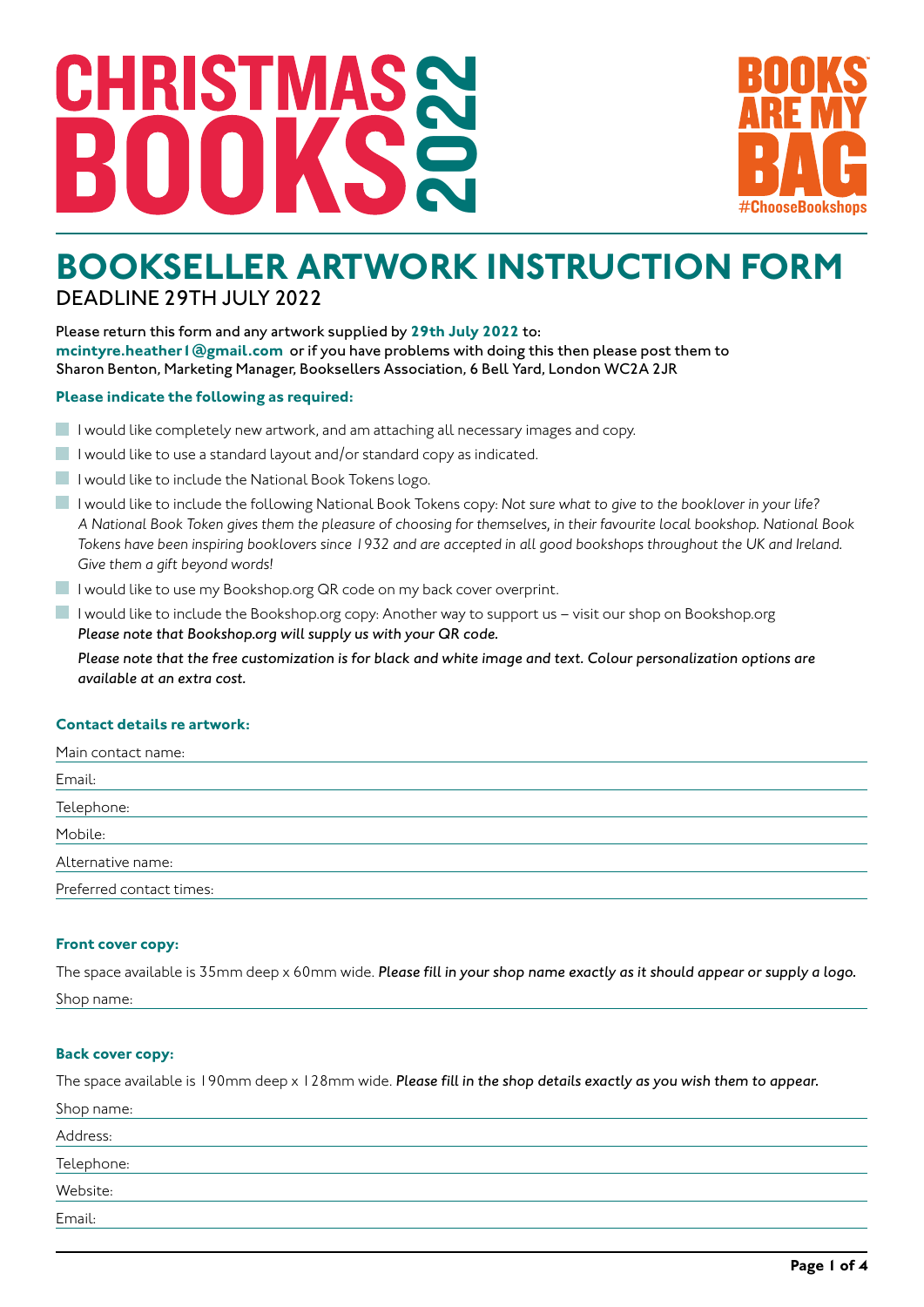# 2022 CHRISTI MА



## **BOOKSELLER ARTWORK INSTRUCTION FORM** DEADLINE 29TH JULY 2022

Please return this form and any artwork supplied by **29th July 2022** to: **mcintyre.heather1@gmail.com** or if you have problems with doing this then please post them to Sharon Benton, Marketing Manager, Booksellers Association, 6 Bell Yard, London WC2A 2JR

#### **Please indicate the following as required:**

- $\blacksquare$  I would like completely new artwork, and am attaching all necessary images and copy.
- I would like to use a standard layout and/or standard copy as indicated.
- I would like to include the National Book Tokens logo.
- I would like to include the following National Book Tokens copy: *Not sure what to give to the booklover in your life? A National Book Token gives them the pleasure of choosing for themselves, in their favourite local bookshop. National Book Tokens have been inspiring booklovers since 1932 and are accepted in all good bookshops throughout the UK and Ireland. Give them a gift beyond words!*
- I would like to use my Bookshop.org QR code on my back cover overprint.
- I would like to include the Bookshop.org copy: Another way to support us visit our shop on Bookshop.org *Please note that Bookshop.org will supply us with your QR code.*

*Please note that the free customization is for black and white image and text. Colour personalization options are available at an extra cost.* 

#### **Contact details re artwork:**

| Main contact name:       |  |
|--------------------------|--|
| Email:                   |  |
| Telephone:               |  |
| Mobile:                  |  |
| Alternative name:        |  |
| Preferred contact times: |  |

#### **Front cover copy:**

The space available is 35mm deep x 60mm wide. *Please fill in your shop name exactly as it should appear or supply a logo.* Shop name:

#### **Back cover copy:**

The space available is 190mm deep x 128mm wide. *Please fill in the shop details exactly as you wish them to appear.*

| Shop name: |  |
|------------|--|
| Address:   |  |
| Telephone: |  |
| Website:   |  |
| Email:     |  |
|            |  |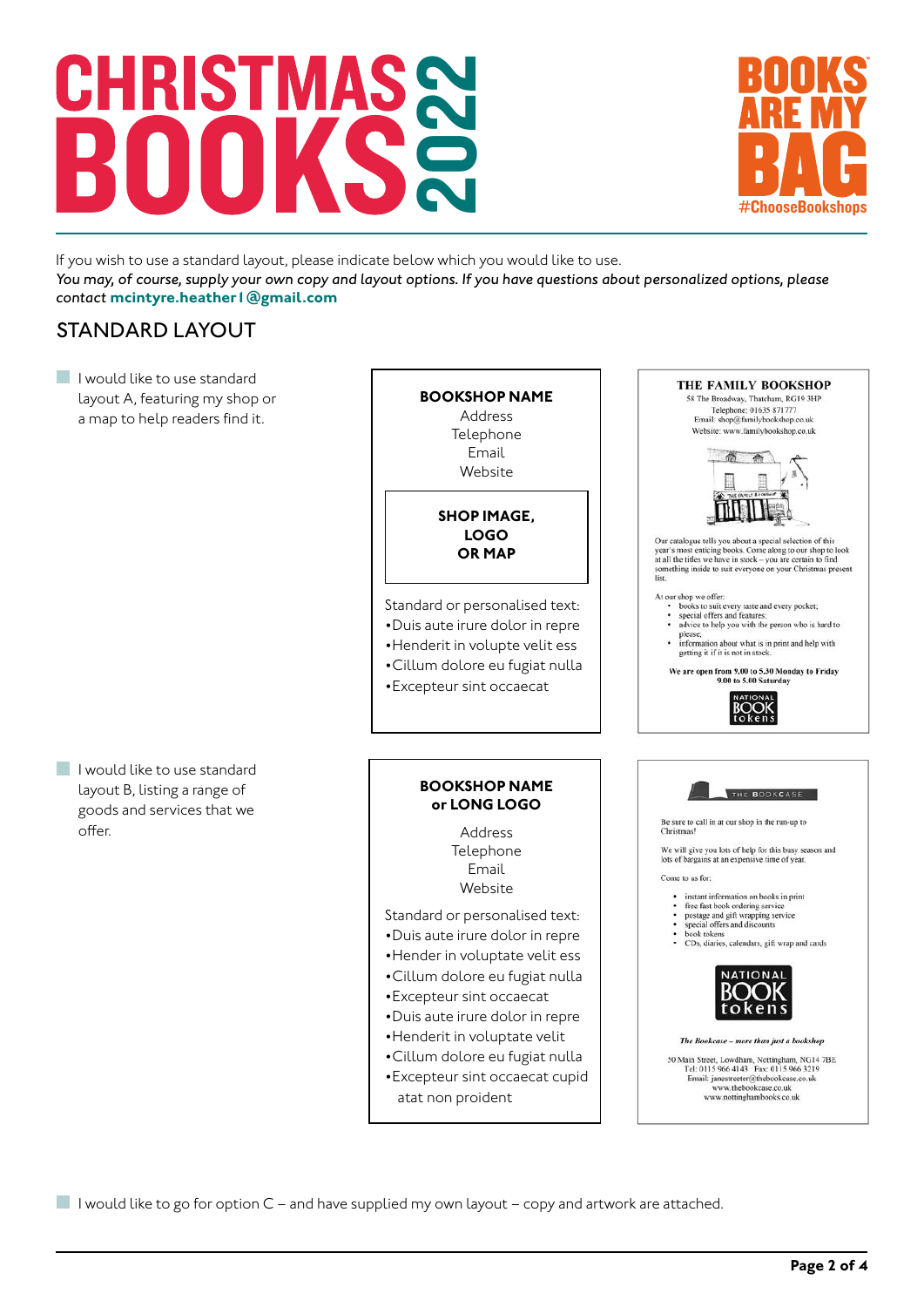# 2022 **CHRISTMA**



If you wish to use a standard layout, please indicate below which you would like to use. *You may, of course, supply your own copy and layout options. If you have questions about personalized options, please contact* **mcintyre.heather1@gmail.com**

### STANDARD LAYOUT

I would like to use standard layout A, featuring my shop or a map to help readers find it.

I would like to use standard layout B, listing a range of goods and services that we offer.

#### **BOOKSHOP NAME** Address Telephone

Email Website

**SHOP IMAGE, LOGO OR MAP**

Standard or personalised text:

- •Duis aute irure dolor in repre
- •Henderit in volupte velit ess
- •Cillum dolore eu fugiat nulla
- •Excepteur sint occaecat

#### **BOOKSHOP NAME or LONG LOGO**

Address Telephone Email Website

Standard or personalised text:

- •Duis aute irure dolor in repre
- •Hender in voluptate velit ess
- •Cillum dolore eu fugiat nulla
- •Excepteur sint occaecat
- •Duis aute irure dolor in repre
- •Henderit in voluptate velit
- •Cillum dolore eu fugiat nulla
- •Excepteur sint occaecat cupid atat non proident



THE FAMILY BOOKSHOP 58 The Broadway, Thatcham, RG19 3HP Telephone: 01635 871777<br>Email: shop@familybookshop.co.uk Website: www.familybookshop.co.uk

I would like to go for option  $C$  – and have supplied my own layout – copy and artwork are attached.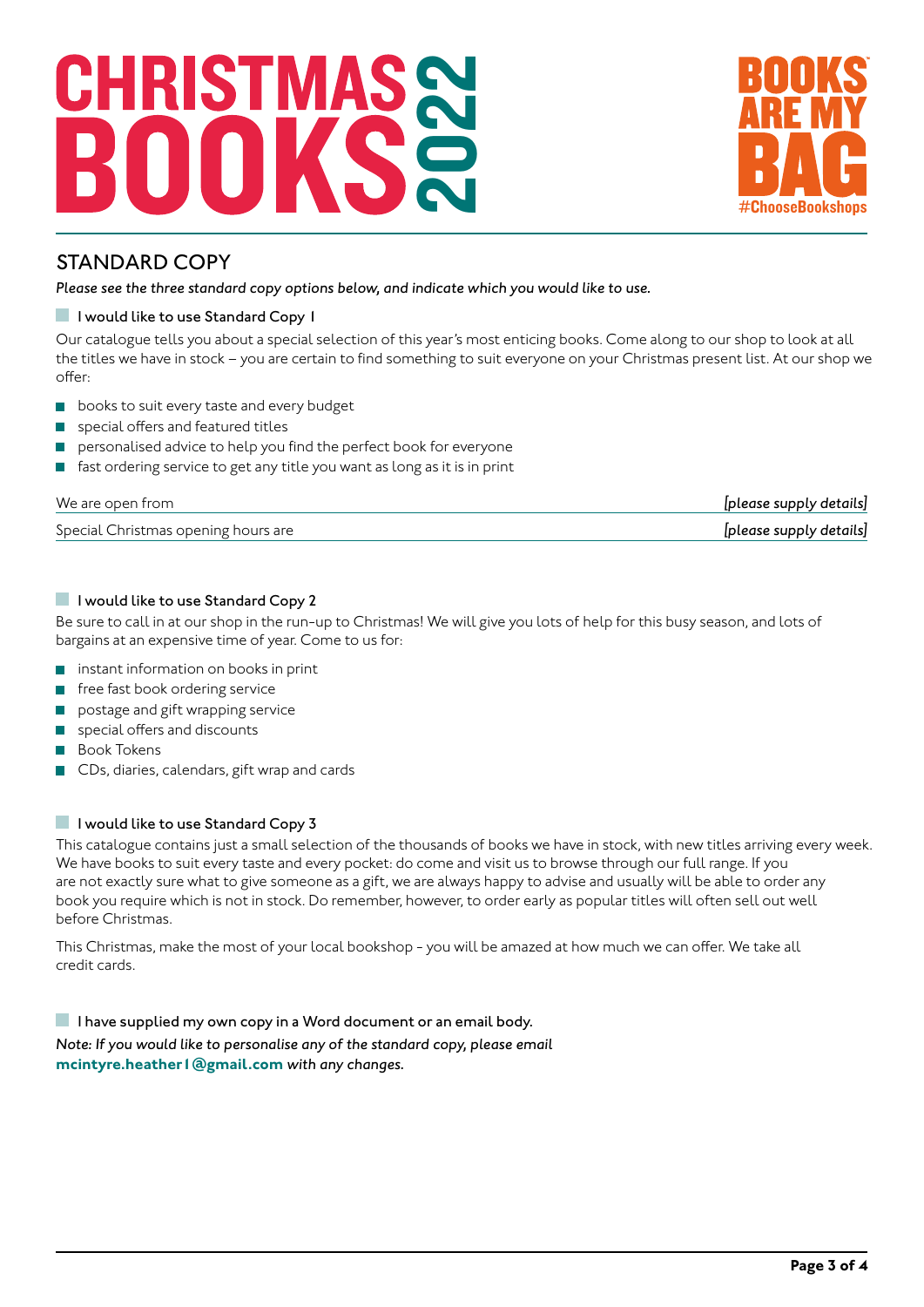# 2022 CHRIST



### STANDARD COPY

*Please see the three standard copy options below, and indicate which you would like to use.*

#### **I** I would like to use Standard Copy 1

Our catalogue tells you about a special selection of this year's most enticing books. Come along to our shop to look at all the titles we have in stock – you are certain to find something to suit everyone on your Christmas present list. At our shop we offer:

- books to suit every taste and every budget  $\overline{\phantom{a}}$
- special offers and featured titles
- personalised advice to help you find the perfect book for everyone
- fast ordering service to get any title you want as long as it is in print

| We are open from                    | [please supply details] |
|-------------------------------------|-------------------------|
| Special Christmas opening hours are | [please supply details] |

#### I would like to use Standard Copy 2

Be sure to call in at our shop in the run-up to Christmas! We will give you lots of help for this busy season, and lots of bargains at an expensive time of year. Come to us for:

- $\mathcal{C}^{\mathcal{A}}$ instant information on books in print
- free fast book ordering service  $\mathcal{C}^{\mathcal{A}}$
- postage and gift wrapping service
- special offers and discounts
- Book Tokens
- CDs, diaries, calendars, gift wrap and cards

#### I would like to use Standard Copy 3

This catalogue contains just a small selection of the thousands of books we have in stock, with new titles arriving every week. We have books to suit every taste and every pocket: do come and visit us to browse through our full range. If you are not exactly sure what to give someone as a gift, we are always happy to advise and usually will be able to order any book you require which is not in stock. Do remember, however, to order early as popular titles will often sell out well before Christmas.

This Christmas, make the most of your local bookshop - you will be amazed at how much we can offer. We take all credit cards.

I have supplied my own copy in a Word document or an email body. *Note: If you would like to personalise any of the standard copy, please email*  **mcintyre.heather1@gmail.com** *with any changes.*